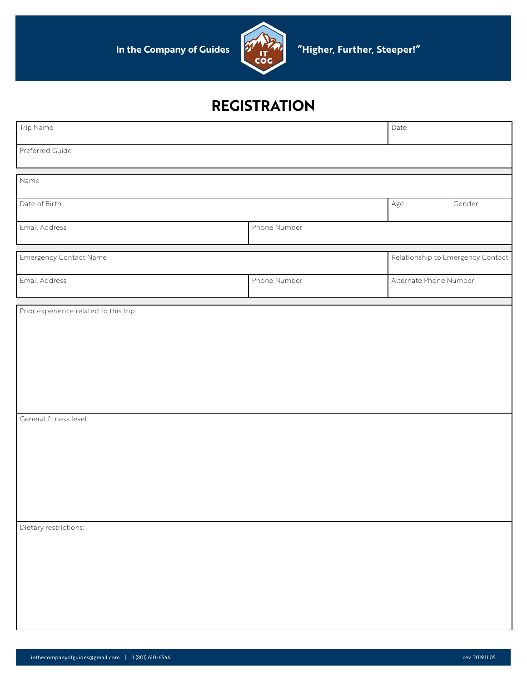

| Trip Name                              |              | Date                              |        |
|----------------------------------------|--------------|-----------------------------------|--------|
| Preferred Guide                        |              |                                   |        |
| Name                                   |              |                                   |        |
| Date of Birth                          |              | Age                               | Gender |
| Email Address                          | Phone Number |                                   |        |
| <b>Emergency Contact Name</b>          |              | Relationship to Emergency Contact |        |
| Email Address                          | Phone Number | Alternate Phone Number            |        |
| Prior experience related to this trip: |              |                                   |        |
|                                        |              |                                   |        |
|                                        |              |                                   |        |
|                                        |              |                                   |        |
| General fitness level:                 |              |                                   |        |
|                                        |              |                                   |        |
|                                        |              |                                   |        |
|                                        |              |                                   |        |
|                                        |              |                                   |        |
| Dietary restrictions:                  |              |                                   |        |
|                                        |              |                                   |        |
|                                        |              |                                   |        |
|                                        |              |                                   |        |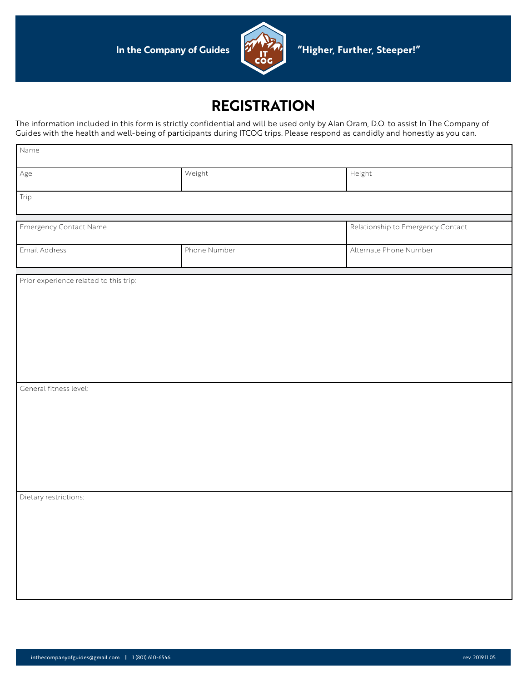

The information included in this form is strictly confidential and will be used only by Alan Oram, D.O. to assist In The Company of Guides with the health and well-being of participants during ITCOG trips. Please respond as candidly and honestly as you can.

| Name                                   |              |                                   |
|----------------------------------------|--------------|-----------------------------------|
| Age                                    | Weight       | Height                            |
| Trip                                   |              |                                   |
| Emergency Contact Name                 |              | Relationship to Emergency Contact |
| Email Address                          | Phone Number | Alternate Phone Number            |
| Prior experience related to this trip: |              |                                   |
| General fitness level:                 |              |                                   |
| Dietary restrictions:                  |              |                                   |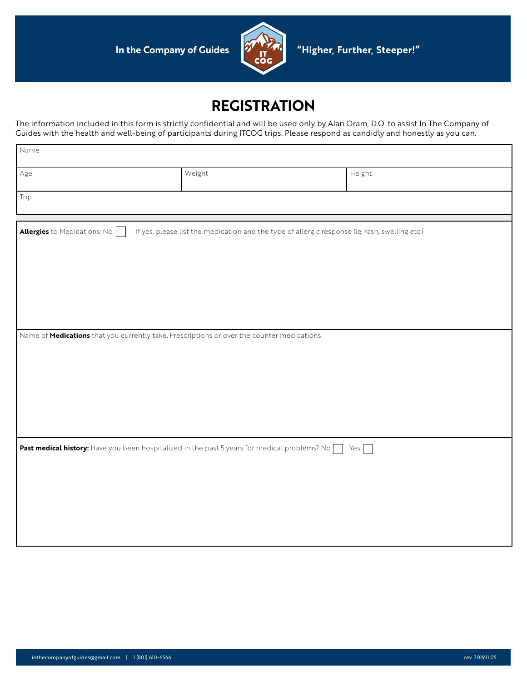

The information included in this form is strictly confidential and will be used only by Alan Oram, D.O. to assist In The Company of Guides with the health and well-being of participants during ITCOG trips. Please respond as candidly and honestly as you can.

| Name                                                                                          |        |                                                                                                |  |
|-----------------------------------------------------------------------------------------------|--------|------------------------------------------------------------------------------------------------|--|
| Age                                                                                           | Weight | Height                                                                                         |  |
| Trip                                                                                          |        |                                                                                                |  |
| Allergies to Medications: No                                                                  |        | If yes, please list the medication and the type of allergic response (ie; rash, swelling etc.) |  |
|                                                                                               |        |                                                                                                |  |
|                                                                                               |        |                                                                                                |  |
|                                                                                               |        |                                                                                                |  |
| Name of Medications that you currently take. Prescriptions or over the counter medications.   |        |                                                                                                |  |
|                                                                                               |        |                                                                                                |  |
|                                                                                               |        |                                                                                                |  |
|                                                                                               |        |                                                                                                |  |
| Past medical history: Have you been hospitalized in the past 5 years for medical problems? No |        | Yes <sub>[1]</sub>                                                                             |  |
|                                                                                               |        |                                                                                                |  |
|                                                                                               |        |                                                                                                |  |
|                                                                                               |        |                                                                                                |  |
|                                                                                               |        |                                                                                                |  |